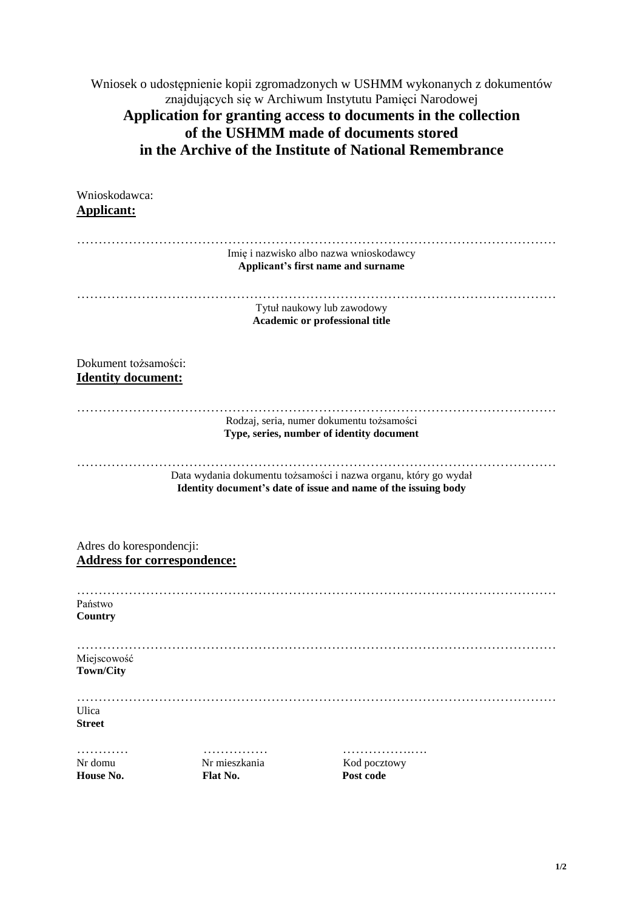Wniosek o udostępnienie kopii zgromadzonych w USHMM wykonanych z dokumentów znajdujących się w Archiwum Instytutu Pamięci Narodowej **Application for granting access to documents in the collection of the USHMM made of documents stored in the Archive of the Institute of National Remembrance**

| Wnioskodawca:<br><b>Applicant:</b>                             |                                |                                                                                                                                    |
|----------------------------------------------------------------|--------------------------------|------------------------------------------------------------------------------------------------------------------------------------|
|                                                                |                                |                                                                                                                                    |
|                                                                |                                | Imię i nazwisko albo nazwa wnioskodawcy<br>Applicant's first name and surname                                                      |
|                                                                |                                | Tytuł naukowy lub zawodowy<br>Academic or professional title                                                                       |
| Dokument tożsamości:<br><b>Identity document:</b>              |                                |                                                                                                                                    |
|                                                                |                                | Rodzaj, seria, numer dokumentu tożsamości<br>Type, series, number of identity document                                             |
|                                                                |                                | Data wydania dokumentu tożsamości i nazwa organu, który go wydał<br>Identity document's date of issue and name of the issuing body |
| Adres do korespondencji:<br><b>Address for correspondence:</b> |                                |                                                                                                                                    |
| Państwo<br>Country                                             |                                |                                                                                                                                    |
| Miejscowość<br><b>Town/City</b>                                |                                |                                                                                                                                    |
| Ulica<br><b>Street</b>                                         |                                |                                                                                                                                    |
| .<br>Nr domu<br>House No.                                      | .<br>Nr mieszkania<br>Flat No. | .<br>Kod pocztowy<br>Post code                                                                                                     |